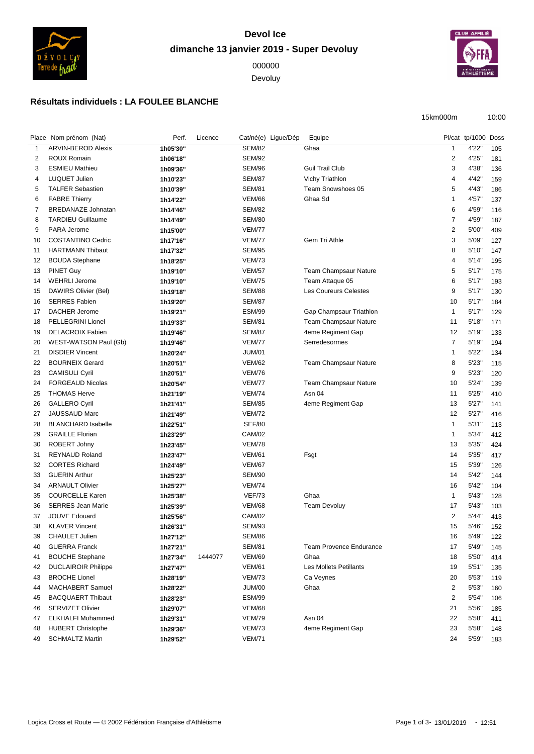

## **Devol Ice dimanche 13 janvier 2019 - Super Devoluy**

Devoluy



## **Résultats individuels : LA FOULEE BLANCHE**

15km000m 10:00

|                | Place Nom prénom (Nat)     | Perf.    | Licence |               | Cat/né(e) Ligue/Dép | Equipe                         |                         | Pl/cat tp/1000 Doss |     |
|----------------|----------------------------|----------|---------|---------------|---------------------|--------------------------------|-------------------------|---------------------|-----|
| -1             | <b>ARVIN-BEROD Alexis</b>  | 1h05'30" |         | <b>SEM/82</b> |                     | Ghaa                           | -1                      | 4'22"               | 105 |
| $\overline{2}$ | ROUX Romain                | 1h06'18" |         | <b>SEM/92</b> |                     |                                | $\sqrt{2}$              | 4'25"               | 181 |
| 3              | <b>ESMIEU Mathieu</b>      | 1h09'36" |         | <b>SEM/96</b> |                     | <b>Guil Trail Club</b>         | 3                       | 4'38"               | 136 |
| 4              | LUQUET Julien              | 1h10'23" |         | <b>SEM/87</b> |                     | <b>Vichy Triathlon</b>         | $\overline{4}$          | 4'42"               | 159 |
| 5              | <b>TALFER Sebastien</b>    | 1h10'39" |         | <b>SEM/81</b> |                     | Team Snowshoes 05              | 5                       | 4'43"               | 186 |
| 6              | <b>FABRE Thierry</b>       | 1h14'22" |         | <b>VEM/66</b> |                     | Ghaa Sd                        | $\overline{1}$          | 4'57"               | 137 |
| 7              | <b>BREDANAZE Johnatan</b>  | 1h14'46" |         | <b>SEM/82</b> |                     |                                | 6                       | 4'59"               | 116 |
| 8              | <b>TARDIEU Guillaume</b>   | 1h14'49" |         | <b>SEM/80</b> |                     |                                | $\overline{7}$          | 4'59"               | 187 |
| 9              | PARA Jerome                | 1h15'00" |         | <b>VEM/77</b> |                     |                                | $\overline{c}$          | 5'00"               | 409 |
| 10             | COSTANTINO Cedric          | 1h17'16" |         | <b>VEM/77</b> |                     | Gem Tri Athle                  | $\mathsf 3$             | 5'09"               | 127 |
| 11             | <b>HARTMANN Thibaut</b>    | 1h17'32" |         | <b>SEM/95</b> |                     |                                | 8                       | 5'10"               | 147 |
| 12             | <b>BOUDA Stephane</b>      | 1h18'25" |         | <b>VEM/73</b> |                     |                                | $\overline{4}$          | 5'14"               | 195 |
| 13             | <b>PINET Guy</b>           | 1h19'10" |         | <b>VEM/57</b> |                     | <b>Team Champsaur Nature</b>   | 5                       | 5'17''              | 175 |
| 14             | <b>WEHRLI Jerome</b>       | 1h19'10" |         | <b>VEM/75</b> |                     | Team Attaque 05                | 6                       | 5'17''              | 193 |
| 15             | DAWIRS Olivier (Bel)       | 1h19'18" |         | <b>SEM/88</b> |                     | <b>Les Coureurs Celestes</b>   | 9                       | 5'17''              | 130 |
| 16             | <b>SERRES Fabien</b>       | 1h19'20" |         | <b>SEM/87</b> |                     |                                | 10                      | 5'17''              | 184 |
| 17             | DACHER Jerome              | 1h19'21" |         | <b>ESM/99</b> |                     | Gap Champsaur Triathlon        | $\mathbf{1}$            | 5'17''              | 129 |
| 18             | PELLEGRINI Lionel          | 1h19'33" |         | <b>SEM/81</b> |                     | Team Champsaur Nature          | 11                      | 5'18''              | 171 |
| 19             | <b>DELACROIX Fabien</b>    | 1h19'46" |         | <b>SEM/87</b> |                     | 4eme Regiment Gap              | 12                      | 5'19"               | 133 |
| 20             | WEST-WATSON Paul (Gb)      | 1h19'46" |         | <b>VEM/77</b> |                     | Serredesormes                  | $\overline{7}$          | 5'19"               | 194 |
| 21             | <b>DISDIER Vincent</b>     | 1h20'24" |         | <b>JUM/01</b> |                     |                                | $\overline{\mathbf{1}}$ | 5'22"               | 134 |
| 22             | <b>BOURNEIX Gerard</b>     | 1h20'51" |         | <b>VEM/62</b> |                     | <b>Team Champsaur Nature</b>   | 8                       | 5'23"               | 115 |
| 23             | <b>CAMISULI Cyril</b>      | 1h20'51" |         | <b>VEM/76</b> |                     |                                | 9                       | 5'23"               | 120 |
| 24             | <b>FORGEAUD Nicolas</b>    | 1h20'54" |         | <b>VEM/77</b> |                     | Team Champsaur Nature          | 10                      | 5'24"               | 139 |
| 25             | <b>THOMAS Herve</b>        | 1h21'19" |         | <b>VEM/74</b> |                     | Asn 04                         | 11                      | 5'25"               | 410 |
| 26             | <b>GALLERO Cyril</b>       | 1h21'41" |         | <b>SEM/85</b> |                     | 4eme Regiment Gap              | 13                      | 5'27"               | 141 |
| 27             | JAUSSAUD Marc              | 1h21'49" |         | <b>VEM/72</b> |                     |                                | 12                      | 5'27"               | 416 |
| 28             | <b>BLANCHARD Isabelle</b>  | 1h22'51" |         | <b>SEF/80</b> |                     |                                | $\mathbf{1}$            | 5'31''              | 113 |
| 29             | <b>GRAILLE Florian</b>     | 1h23'29" |         | CAM/02        |                     |                                | $\mathbf{1}$            | 5'34"               | 412 |
| 30             | ROBERT Johny               | 1h23'45" |         | <b>VEM/78</b> |                     |                                | 13                      | 5'35"               | 424 |
| 31             | <b>REYNAUD Roland</b>      | 1h23'47" |         | <b>VEM/61</b> |                     | Fsgt                           | 14                      | 5'35"               | 417 |
| 32             | <b>CORTES Richard</b>      | 1h24'49" |         | <b>VEM/67</b> |                     |                                | 15                      | 5'39"               | 126 |
| 33             | <b>GUERIN Arthur</b>       | 1h25'23" |         | <b>SEM/90</b> |                     |                                | 14                      | 5'42"               | 144 |
| 34             | <b>ARNAULT Olivier</b>     | 1h25'27" |         | <b>VEM/74</b> |                     |                                | 16                      | 5'42"               | 104 |
| 35             | <b>COURCELLE Karen</b>     | 1h25'38" |         | <b>VEF/73</b> |                     | Ghaa                           | $\mathbf{1}$            | 5'43"               | 128 |
| 36             | <b>SERRES Jean Marie</b>   | 1h25'39" |         | <b>VEM/68</b> |                     | <b>Team Devoluy</b>            | 17                      | 5'43"               | 103 |
| 37             | <b>JOUVE Edouard</b>       | 1h25'56" |         | CAM/02        |                     |                                | $\overline{c}$          | 5'44"               | 413 |
| 38             | <b>KLAVER Vincent</b>      | 1h26'31" |         | <b>SEM/93</b> |                     |                                | 15                      | 5'46"               | 152 |
| 39             | <b>CHAULET Julien</b>      | 1h27'12" |         | <b>SEM/86</b> |                     |                                | 16                      | 5'49'               | 122 |
| 40             | <b>GUERRA Franck</b>       | 1h27'21" |         | <b>SEM/81</b> |                     | <b>Team Provence Endurance</b> | 17                      | 5'49"               | 145 |
| 41             | <b>BOUCHE Stephane</b>     | 1h27'34" | 1444077 | <b>VEM/69</b> |                     | Ghaa                           | 18                      | 5'50"               | 414 |
| 42             | <b>DUCLAIROIR Philippe</b> | 1h27'47" |         | <b>VEM/61</b> |                     | <b>Les Mollets Petillants</b>  | 19                      | 5'51''              | 135 |
| 43             | <b>BROCHE Lionel</b>       | 1h28'19" |         | <b>VEM/73</b> |                     | Ca Veynes                      | 20                      | 5'53"               | 119 |
| 44             | MACHABERT Samuel           | 1h28'22" |         | <b>JUM/00</b> |                     | Ghaa                           | $\overline{2}$          | 5'53"               | 160 |
| 45             | <b>BACQUAERT Thibaut</b>   | 1h28'23" |         | <b>ESM/99</b> |                     |                                | $\overline{2}$          | 5'54"               | 106 |
| 46             | <b>SERVIZET Olivier</b>    | 1h29'07" |         | <b>VEM/68</b> |                     |                                | 21                      | 5'56"               | 185 |
| 47             | <b>ELKHALFI Mohammed</b>   | 1h29'31" |         | <b>VEM/79</b> |                     | Asn 04                         | 22                      | 5'58"               | 411 |
| 48             | <b>HUBERT Christophe</b>   | 1h29'36" |         | <b>VEM/73</b> |                     | 4eme Regiment Gap              | 23                      | 5'58"               | 148 |
| 49             | <b>SCHMALTZ Martin</b>     | 1h29'52" |         | <b>VEM/71</b> |                     |                                | 24                      | 5'59"               | 183 |
|                |                            |          |         |               |                     |                                |                         |                     |     |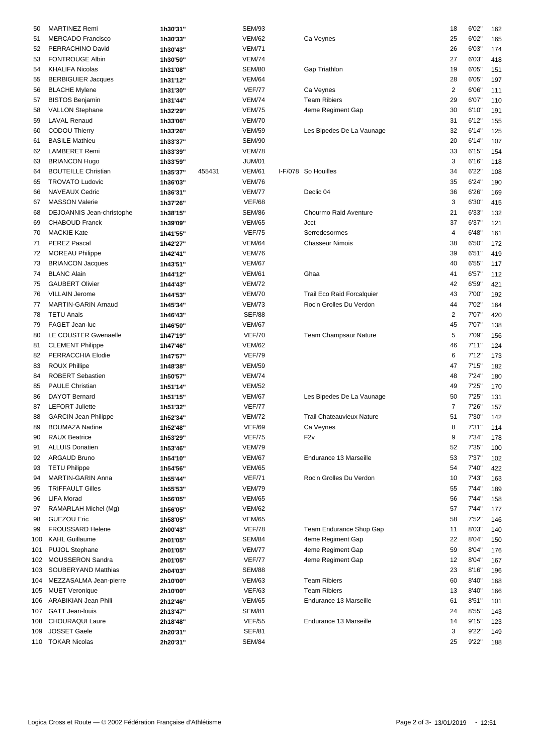| 50  | <b>MARTINEZ Remi</b>        | 1h30'31" |        | <b>SEM/93</b> |                                   | 18             | 6'02'  | 162 |
|-----|-----------------------------|----------|--------|---------------|-----------------------------------|----------------|--------|-----|
| 51  | <b>MERCADO Francisco</b>    | 1h30'33" |        | <b>VEM/62</b> | Ca Veynes                         | 25             | 6'02"  | 165 |
| 52  | PERRACHINO David            | 1h30'43" |        | <b>VEM/71</b> |                                   | 26             | 6'03"  | 174 |
|     | <b>FONTROUGE Albin</b>      |          |        | <b>VEM/74</b> |                                   | 27             | 6'03"  |     |
| 53  |                             | 1h30'50" |        |               |                                   |                |        | 418 |
| 54  | <b>KHALIFA Nicolas</b>      | 1h31'08" |        | <b>SEM/80</b> | Gap Triathlon                     | 19             | 6'05"  | 151 |
| 55  | <b>BERBIGUIER Jacques</b>   | 1h31'12" |        | <b>VEM/64</b> |                                   | 28             | 6'05"  | 197 |
| 56  | <b>BLACHE Mylene</b>        | 1h31'30" |        | <b>VEF/77</b> | Ca Veynes                         | $\overline{c}$ | 6'06"  | 111 |
| 57  | <b>BISTOS Benjamin</b>      | 1h31'44" |        | <b>VEM/74</b> | <b>Team Ribiers</b>               | 29             | 6'07"  | 110 |
| 58  | <b>VALLON Stephane</b>      | 1h32'29" |        | <b>VEM/75</b> | 4eme Regiment Gap                 | 30             | 6'10"  | 191 |
| 59  | <b>LAVAL Renaud</b>         | 1h33'06" |        | <b>VEM/70</b> |                                   | 31             | 6'12'' | 155 |
| 60  | CODOU Thierry               | 1h33'26" |        | <b>VEM/59</b> | Les Bipedes De La Vaunage         | 32             | 6'14"  | 125 |
| 61  | <b>BASILE Mathieu</b>       | 1h33'37" |        | <b>SEM/90</b> |                                   | 20             | 6'14"  | 107 |
| 62  | <b>LAMBERET Remi</b>        | 1h33'39" |        | <b>VEM/78</b> |                                   | 33             | 6'15'' | 154 |
| 63  | <b>BRIANCON Hugo</b>        | 1h33'59" |        | <b>JUM/01</b> |                                   | 3              | 6'16'' | 118 |
| 64  | <b>BOUTEILLE Christian</b>  | 1h35'37" | 455431 | <b>VEM/61</b> | I-F/078 So Houilles               | 34             | 6'22"  | 108 |
| 65  | <b>TROVATO Ludovic</b>      | 1h36'03" |        | <b>VEM/76</b> |                                   | 35             | 6'24"  | 190 |
| 66  | <b>NAVEAUX Cedric</b>       | 1h36'31" |        | <b>VEM/77</b> | Declic 04                         | 36             | 6'26"  | 169 |
|     | <b>MASSON Valerie</b>       |          |        | <b>VEF/68</b> |                                   | 3              | 6'30"  |     |
| 67  |                             | 1h37'26" |        |               |                                   |                |        | 415 |
| 68  | DEJOANNIS Jean-christophe   | 1h38'15" |        | <b>SEM/86</b> | Chourmo Raid Aventure             | 21             | 6'33"  | 132 |
| 69  | <b>CHABOUD Franck</b>       | 1h39'09" |        | <b>VEM/65</b> | <b>Jcct</b>                       | 37             | 6'37"  | 121 |
| 70  | <b>MACKIE Kate</b>          | 1h41'55" |        | <b>VEF/75</b> | Serredesormes                     | 4              | 6'48"  | 161 |
| 71  | <b>PEREZ Pascal</b>         | 1h42'27" |        | <b>VEM/64</b> | <b>Chasseur Nimois</b>            | 38             | 6'50"  | 172 |
| 72  | <b>MOREAU Philippe</b>      | 1h42'41" |        | <b>VEM/76</b> |                                   | 39             | 6'51'' | 419 |
| 73  | <b>BRIANCON Jacques</b>     | 1h43'51" |        | <b>VEM/67</b> |                                   | 40             | 6'55"  | 117 |
| 74  | <b>BLANC Alain</b>          | 1h44'12" |        | <b>VEM/61</b> | Ghaa                              | 41             | 6'57"  | 112 |
| 75  | <b>GAUBERT Olivier</b>      | 1h44'43" |        | <b>VEM/72</b> |                                   | 42             | 6'59"  | 421 |
| 76  | <b>VILLAIN Jerome</b>       | 1h44'53" |        | <b>VEM/70</b> | <b>Trail Eco Raid Forcalquier</b> | 43             | 7'00"  | 192 |
| 77  | <b>MARTIN-GARIN Arnaud</b>  | 1h45'34" |        | <b>VEM/73</b> | Roc'n Grolles Du Verdon           | 44             | 7'02"  | 164 |
| 78  | <b>TETU Anais</b>           | 1h46'43" |        | <b>SEF/88</b> |                                   | $\overline{2}$ | 7'07"  | 420 |
| 79  | FAGET Jean-luc              | 1h46'50" |        | <b>VEM/67</b> |                                   | 45             | 7'07"  | 138 |
| 80  | LE COUSTER Gwenaelle        |          |        | <b>VEF/70</b> | <b>Team Champsaur Nature</b>      | 5              | 7'09"  | 156 |
|     |                             | 1h47'19" |        |               |                                   |                |        |     |
| 81  | <b>CLEMENT Philippe</b>     | 1h47'46" |        | <b>VEM/62</b> |                                   | 46             | 7'11'' | 124 |
| 82  | PERRACCHIA Elodie           | 1h47'57" |        | <b>VEF/79</b> |                                   | 6              | 7'12'' | 173 |
| 83  | <b>ROUX Phillipe</b>        | 1h48'38" |        | <b>VEM/59</b> |                                   | 47             | 7'15'' | 182 |
| 84  | <b>ROBERT Sebastien</b>     | 1h50'57" |        | <b>VEM/74</b> |                                   | 48             | 7'24"  | 180 |
| 85  | <b>PAULE Christian</b>      | 1h51'14" |        | <b>VEM/52</b> |                                   | 49             | 7'25"  | 170 |
| 86  | <b>DAYOT Bernard</b>        | 1h51'15" |        | <b>VEM/67</b> | Les Bipedes De La Vaunage         | 50             | 7'25"  | 131 |
| 87  | <b>LEFORT Juliette</b>      | 1h51'32" |        | VEF/77        |                                   | $\overline{7}$ | 7'26"  | 157 |
| 88  | <b>GARCIN Jean Philippe</b> | 1h52'34" |        | <b>VEM/72</b> | <b>Trail Chateauvieux Nature</b>  | 51             | 7'30"  | 142 |
| 89  | <b>BOUMAZA Nadine</b>       | 1h52'48" |        | <b>VEF/69</b> | Ca Veynes                         | 8              | 7'31'' | 114 |
| 90  | <b>RAUX Beatrice</b>        | 1h53'29" |        | <b>VEF/75</b> | F <sub>2v</sub>                   | 9              | 7'34"  | 178 |
| 91  | <b>ALLUIS Donatien</b>      | 1h53'46" |        | <b>VEM/79</b> |                                   | 52             | 7'35"  | 100 |
| 92  | ARGAUD Bruno                | 1h54'10" |        | <b>VEM/67</b> | Endurance 13 Marseille            | 53             | 7'37"  | 102 |
| 93  | <b>TETU Philippe</b>        | 1h54'56" |        | <b>VEM/65</b> |                                   | 54             | 7'40"  | 422 |
| 94  | MARTIN-GARIN Anna           | 1h55'44" |        | <b>VEF/71</b> | Roc'n Grolles Du Verdon           | 10             | 7'43"  | 163 |
| 95  | <b>TRIFFAULT Gilles</b>     | 1h55'53" |        | <b>VEM/79</b> |                                   | 55             | 7'44"  | 189 |
| 96  | <b>LIFA Morad</b>           | 1h56'05" |        | <b>VEM/65</b> |                                   | 56             | 7'44"  | 158 |
| 97  | RAMARLAH Michel (Mg)        | 1h56'05" |        | <b>VEM/62</b> |                                   | 57             | 7'44"  | 177 |
|     | <b>GUEZOU Eric</b>          |          |        | <b>VEM/65</b> |                                   | 58             | 7'52"  |     |
| 98  |                             | 1h58'05" |        |               | Team Endurance Shop Gap           |                |        | 146 |
| 99  | FROUSSARD Helene            | 2h00'43" |        | <b>VEF/78</b> |                                   | 11             | 8'03"  | 140 |
| 100 | <b>KAHL Guillaume</b>       | 2h01'05" |        | SEM/84        | 4eme Regiment Gap                 | 22             | 8'04"  | 150 |
| 101 | <b>PUJOL Stephane</b>       | 2h01'05" |        | <b>VEM/77</b> | 4eme Regiment Gap                 | 59             | 8'04"  | 176 |
| 102 | MOUSSERON Sandra            | 2h01'05" |        | VEF/77        | 4eme Regiment Gap                 | 12             | 8'04"  | 167 |
| 103 | SOUBERYAND Matthias         | 2h04'03" |        | SEM/88        |                                   | 23             | 8'16'' | 196 |
| 104 | MEZZASALMA Jean-pierre      | 2h10'00" |        | <b>VEM/63</b> | <b>Team Ribiers</b>               | 60             | 8'40"  | 168 |
| 105 | <b>MUET Veronique</b>       | 2h10'00" |        | <b>VEF/63</b> | <b>Team Ribiers</b>               | 13             | 8'40"  | 166 |
| 106 | ARABIKIAN Jean Phili        | 2h12'46" |        | <b>VEM/65</b> | Endurance 13 Marseille            | 61             | 8'51'' | 101 |
| 107 | <b>GATT Jean-louis</b>      | 2h13'47" |        | <b>SEM/81</b> |                                   | 24             | 8'55"  | 143 |
| 108 | <b>CHOURAQUI Laure</b>      | 2h18'48" |        | <b>VEF/55</b> | Endurance 13 Marseille            | 14             | 9'15'' | 123 |
| 109 | <b>JOSSET Gaele</b>         | 2h20'31" |        | <b>SEF/81</b> |                                   | 3              | 9'22"  | 149 |
|     | 110 TOKAR Nicolas           | 2h20'31" |        | SEM/84        |                                   | 25             | 9'22"  | 188 |
|     |                             |          |        |               |                                   |                |        |     |

|   |                                  | 10             | 0 UZ   | 162 |
|---|----------------------------------|----------------|--------|-----|
|   | Ca Veynes                        | 25             | 6'02"  | 165 |
|   |                                  | 26             | 6'03"  | 174 |
|   |                                  | 27             | 6'03"  | 418 |
|   | Gap Triathlon                    | 19             | 6'05"  | 151 |
|   |                                  | 28             | 6'05"  | 197 |
|   | Ca Veynes                        | 2              | 6'06"  | 111 |
|   | <b>Team Ribiers</b>              | 29             | 6'07"  | 110 |
|   | 4eme Regiment Gap                | 30             | 6'10"  | 191 |
|   |                                  | 31             | 6'12"  |     |
|   |                                  |                |        | 155 |
|   | Les Bipedes De La Vaunage        | 32             | 6'14"  | 125 |
|   |                                  | 20             | 6'14"  | 107 |
|   |                                  | 33             | 6'15"  | 154 |
|   |                                  | 3              | 6'16'' | 118 |
| 8 | So Houilles                      | 34             | 6'22"  | 108 |
|   |                                  | 35             | 6'24"  | 190 |
|   | Declic 04                        | 36             | 6'26"  | 169 |
|   |                                  | 3              | 6'30"  | 415 |
|   | Chourmo Raid Aventure            | 21             | 6'33"  | 132 |
|   | Jcct                             | 37             | 6'37"  | 121 |
|   | Serredesormes                    | 4              | 6'48"  | 161 |
|   | <b>Chasseur Nimois</b>           | 38             | 6'50"  | 172 |
|   |                                  | 39             | 6'51'' | 419 |
|   |                                  | 40             | 6'55"  | 117 |
|   | Ghaa                             | 41             | 6'57"  | 112 |
|   |                                  | 42             | 6'59"  | 421 |
|   | Trail Eco Raid Forcalquier       | 43             | 7'00"  | 192 |
|   | Roc'n Grolles Du Verdon          | 44             | 7'02"  | 164 |
|   |                                  | $\overline{c}$ | 7'07"  |     |
|   |                                  | 45             |        | 420 |
|   |                                  |                | 7'07"  | 138 |
|   | Team Champsaur Nature            | 5              | 7'09"  | 156 |
|   |                                  | 46             | 7'11'' | 124 |
|   |                                  | 6              | 7'12"  | 173 |
|   |                                  | 47             | 7'15"  | 182 |
|   |                                  | 48             | 7'24"  | 180 |
|   |                                  | 49             | 7'25"  | 170 |
|   | Les Bipedes De La Vaunage        | 50             | 7'25"  | 131 |
|   |                                  | 7              | 7'26"  | 157 |
|   | <b>Trail Chateauvieux Nature</b> | 51             | 7'30"  | 142 |
|   | Ca Veynes                        | 8              | 7'31"  | 114 |
|   | F <sub>2v</sub>                  | 9              | 7'34"  | 178 |
|   |                                  | 52             | 7'35"  | 100 |
|   | Endurance 13 Marseille           | 53             | 7'37"  | 102 |
|   |                                  | 54             | 7'40"  | 422 |
|   | Roc'n Grolles Du Verdon          | 10             | 7'43"  | 163 |
|   |                                  | 55             | 7'44"  | 189 |
|   |                                  | 56             | 7'44"  | 158 |
|   |                                  | 57             | 7'44"  | 177 |
|   |                                  | 58             | 7'52"  | 146 |
|   | Team Endurance Shop Gap          | 11             | 8'03"  | 140 |
|   | 4eme Regiment Gap                | 22             | 8'04"  |     |
|   |                                  |                |        | 150 |
|   | 4eme Regiment Gap                | 59             | 8'04"  | 176 |
|   | 4eme Regiment Gap                | 12             | 8'04"  | 167 |
|   |                                  | 23             | 8'16'' | 196 |
|   | <b>Team Ribiers</b>              | 60             | 8'40"  | 168 |
|   | <b>Team Ribiers</b>              | 13             | 8'40"  | 166 |
|   | Endurance 13 Marseille           | 61             | 8'51"  | 101 |
|   |                                  | 24             | 8'55"  | 143 |
|   | Endurance 13 Marseille           | 14             | 9'15"  | 123 |
|   |                                  | 3              | 9'22"  | 149 |
|   |                                  | 25             | 9'22"  | 188 |
|   |                                  |                |        |     |